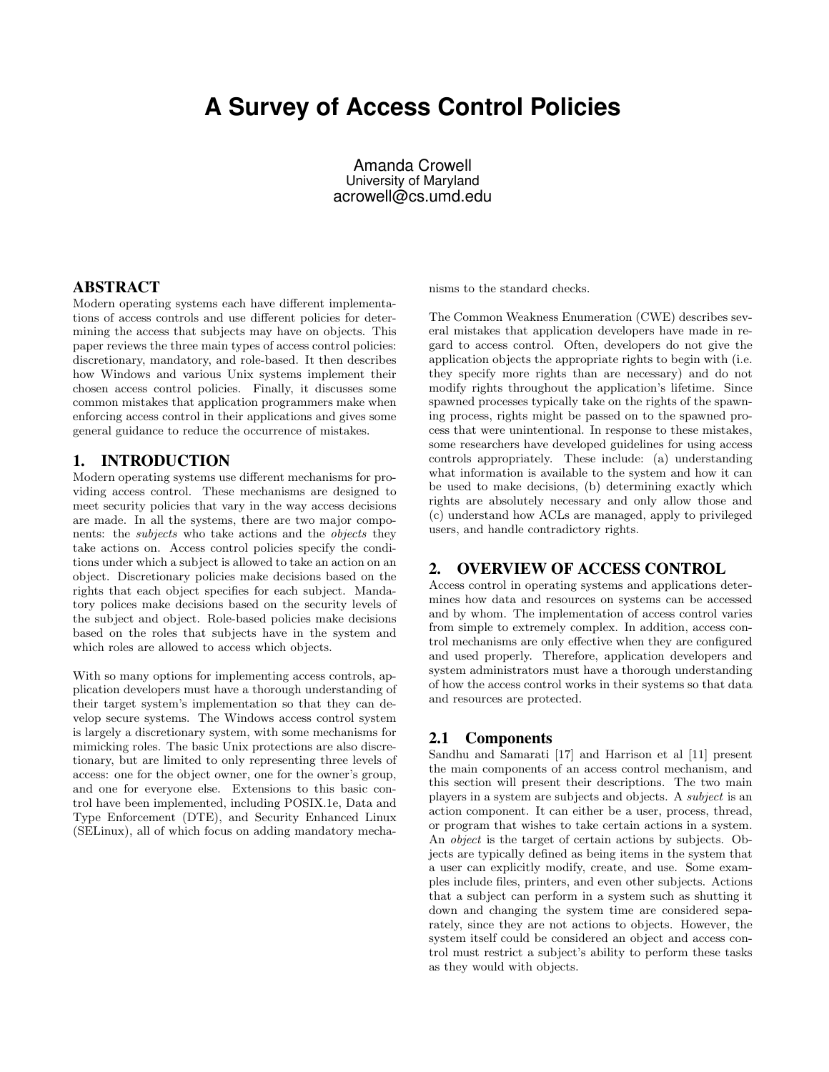# **A Survey of Access Control Policies**

Amanda Crowell University of Maryland acrowell@cs.umd.edu

## ABSTRACT

Modern operating systems each have different implementations of access controls and use different policies for determining the access that subjects may have on objects. This paper reviews the three main types of access control policies: discretionary, mandatory, and role-based. It then describes how Windows and various Unix systems implement their chosen access control policies. Finally, it discusses some common mistakes that application programmers make when enforcing access control in their applications and gives some general guidance to reduce the occurrence of mistakes.

## 1. INTRODUCTION

Modern operating systems use different mechanisms for providing access control. These mechanisms are designed to meet security policies that vary in the way access decisions are made. In all the systems, there are two major components: the subjects who take actions and the objects they take actions on. Access control policies specify the conditions under which a subject is allowed to take an action on an object. Discretionary policies make decisions based on the rights that each object specifies for each subject. Mandatory polices make decisions based on the security levels of the subject and object. Role-based policies make decisions based on the roles that subjects have in the system and which roles are allowed to access which objects.

With so many options for implementing access controls, application developers must have a thorough understanding of their target system's implementation so that they can develop secure systems. The Windows access control system is largely a discretionary system, with some mechanisms for mimicking roles. The basic Unix protections are also discretionary, but are limited to only representing three levels of access: one for the object owner, one for the owner's group, and one for everyone else. Extensions to this basic control have been implemented, including POSIX.1e, Data and Type Enforcement (DTE), and Security Enhanced Linux (SELinux), all of which focus on adding mandatory mechanisms to the standard checks.

The Common Weakness Enumeration (CWE) describes several mistakes that application developers have made in regard to access control. Often, developers do not give the application objects the appropriate rights to begin with (i.e. they specify more rights than are necessary) and do not modify rights throughout the application's lifetime. Since spawned processes typically take on the rights of the spawning process, rights might be passed on to the spawned process that were unintentional. In response to these mistakes, some researchers have developed guidelines for using access controls appropriately. These include: (a) understanding what information is available to the system and how it can be used to make decisions, (b) determining exactly which rights are absolutely necessary and only allow those and (c) understand how ACLs are managed, apply to privileged users, and handle contradictory rights.

# 2. OVERVIEW OF ACCESS CONTROL

Access control in operating systems and applications determines how data and resources on systems can be accessed and by whom. The implementation of access control varies from simple to extremely complex. In addition, access control mechanisms are only effective when they are configured and used properly. Therefore, application developers and system administrators must have a thorough understanding of how the access control works in their systems so that data and resources are protected.

## 2.1 Components

Sandhu and Samarati [17] and Harrison et al [11] present the main components of an access control mechanism, and this section will present their descriptions. The two main players in a system are subjects and objects. A subject is an action component. It can either be a user, process, thread, or program that wishes to take certain actions in a system. An object is the target of certain actions by subjects. Objects are typically defined as being items in the system that a user can explicitly modify, create, and use. Some examples include files, printers, and even other subjects. Actions that a subject can perform in a system such as shutting it down and changing the system time are considered separately, since they are not actions to objects. However, the system itself could be considered an object and access control must restrict a subject's ability to perform these tasks as they would with objects.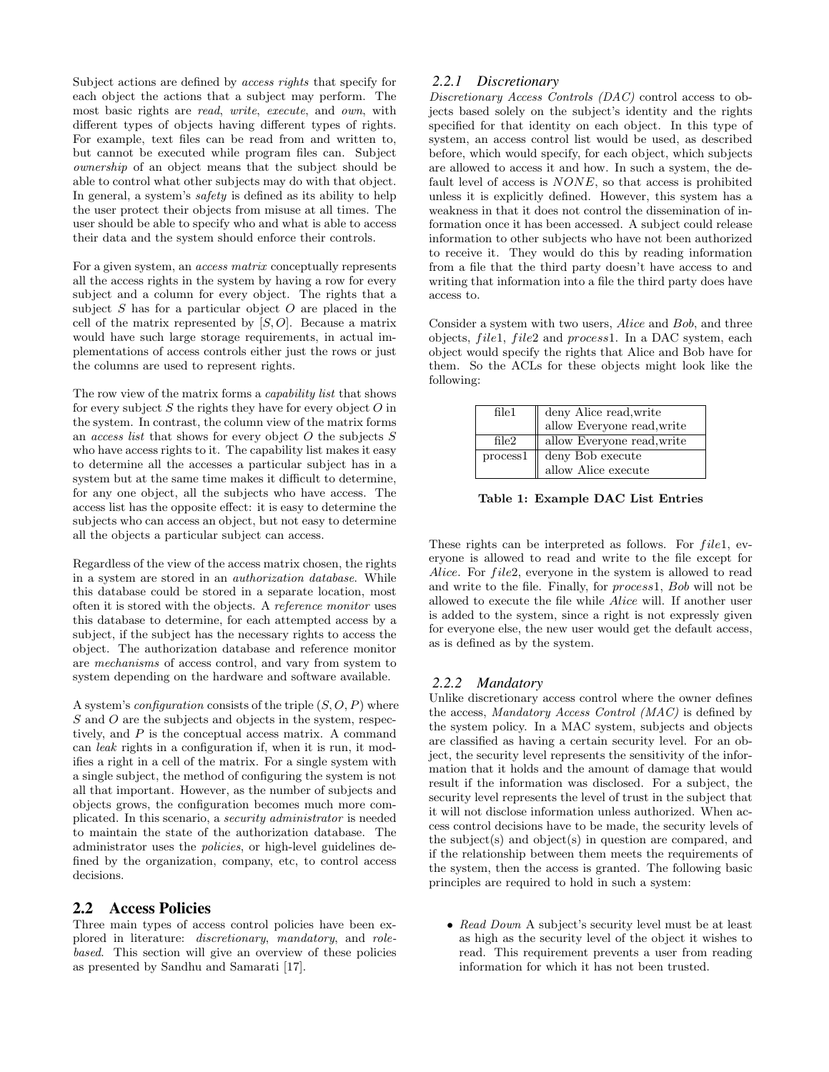Subject actions are defined by access rights that specify for each object the actions that a subject may perform. The most basic rights are read, write, execute, and own, with different types of objects having different types of rights. For example, text files can be read from and written to, but cannot be executed while program files can. Subject ownership of an object means that the subject should be able to control what other subjects may do with that object. In general, a system's *safety* is defined as its ability to help the user protect their objects from misuse at all times. The user should be able to specify who and what is able to access their data and the system should enforce their controls.

For a given system, an access matrix conceptually represents all the access rights in the system by having a row for every subject and a column for every object. The rights that a subject  $S$  has for a particular object  $O$  are placed in the cell of the matrix represented by  $[S, O]$ . Because a matrix would have such large storage requirements, in actual implementations of access controls either just the rows or just the columns are used to represent rights.

The row view of the matrix forms a *capability list* that shows for every subject  $S$  the rights they have for every object  $O$  in the system. In contrast, the column view of the matrix forms an *access list* that shows for every object  $O$  the subjects  $S$ who have access rights to it. The capability list makes it easy to determine all the accesses a particular subject has in a system but at the same time makes it difficult to determine, for any one object, all the subjects who have access. The access list has the opposite effect: it is easy to determine the subjects who can access an object, but not easy to determine all the objects a particular subject can access.

Regardless of the view of the access matrix chosen, the rights in a system are stored in an authorization database. While this database could be stored in a separate location, most often it is stored with the objects. A reference monitor uses this database to determine, for each attempted access by a subject, if the subject has the necessary rights to access the object. The authorization database and reference monitor are mechanisms of access control, and vary from system to system depending on the hardware and software available.

A system's *configuration* consists of the triple  $(S, O, P)$  where S and O are the subjects and objects in the system, respectively, and P is the conceptual access matrix. A command can leak rights in a configuration if, when it is run, it modifies a right in a cell of the matrix. For a single system with a single subject, the method of configuring the system is not all that important. However, as the number of subjects and objects grows, the configuration becomes much more complicated. In this scenario, a security administrator is needed to maintain the state of the authorization database. The administrator uses the policies, or high-level guidelines defined by the organization, company, etc, to control access decisions.

# 2.2 Access Policies

Three main types of access control policies have been explored in literature: discretionary, mandatory, and rolebased. This section will give an overview of these policies as presented by Sandhu and Samarati [17].

#### *2.2.1 Discretionary*

Discretionary Access Controls (DAC) control access to objects based solely on the subject's identity and the rights specified for that identity on each object. In this type of system, an access control list would be used, as described before, which would specify, for each object, which subjects are allowed to access it and how. In such a system, the default level of access is NONE, so that access is prohibited unless it is explicitly defined. However, this system has a weakness in that it does not control the dissemination of information once it has been accessed. A subject could release information to other subjects who have not been authorized to receive it. They would do this by reading information from a file that the third party doesn't have access to and writing that information into a file the third party does have access to.

Consider a system with two users, Alice and Bob, and three objects, *file1*, *file2* and *process1*. In a DAC system, each object would specify the rights that Alice and Bob have for them. So the ACLs for these objects might look like the following:

| file1    | deny Alice read, write     |  |
|----------|----------------------------|--|
|          | allow Everyone read, write |  |
| file2    | allow Everyone read, write |  |
| process1 | deny Bob execute           |  |
|          | allow Alice execute        |  |

Table 1: Example DAC List Entries

These rights can be interpreted as follows. For  $file1$ , everyone is allowed to read and write to the file except for Alice. For file2, everyone in the system is allowed to read and write to the file. Finally, for process1, Bob will not be allowed to execute the file while Alice will. If another user is added to the system, since a right is not expressly given for everyone else, the new user would get the default access, as is defined as by the system.

#### *2.2.2 Mandatory*

Unlike discretionary access control where the owner defines the access, Mandatory Access Control (MAC) is defined by the system policy. In a MAC system, subjects and objects are classified as having a certain security level. For an object, the security level represents the sensitivity of the information that it holds and the amount of damage that would result if the information was disclosed. For a subject, the security level represents the level of trust in the subject that it will not disclose information unless authorized. When access control decisions have to be made, the security levels of the subject(s) and object(s) in question are compared, and if the relationship between them meets the requirements of the system, then the access is granted. The following basic principles are required to hold in such a system:

• Read Down A subject's security level must be at least as high as the security level of the object it wishes to read. This requirement prevents a user from reading information for which it has not been trusted.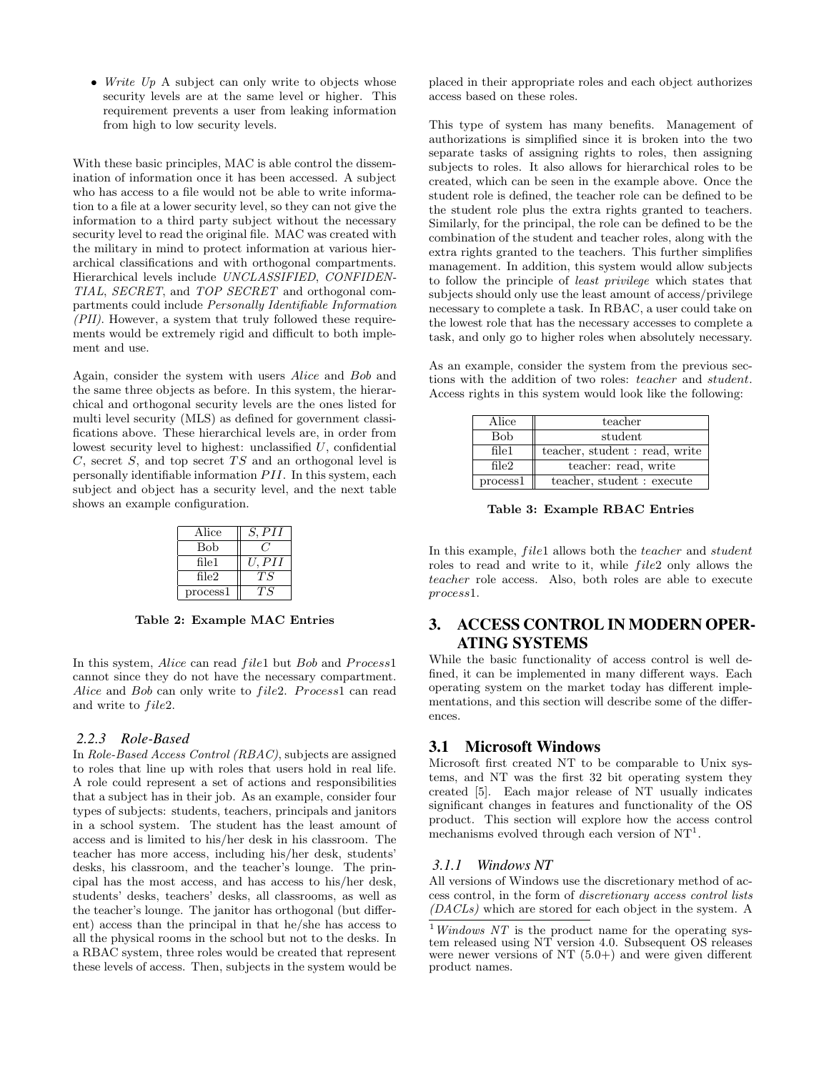• Write  $Up A$  subject can only write to objects whose security levels are at the same level or higher. This requirement prevents a user from leaking information from high to low security levels.

With these basic principles, MAC is able control the dissemination of information once it has been accessed. A subject who has access to a file would not be able to write information to a file at a lower security level, so they can not give the information to a third party subject without the necessary security level to read the original file. MAC was created with the military in mind to protect information at various hierarchical classifications and with orthogonal compartments. Hierarchical levels include UNCLASSIFIED, CONFIDEN-TIAL, SECRET, and TOP SECRET and orthogonal compartments could include Personally Identifiable Information (PII). However, a system that truly followed these requirements would be extremely rigid and difficult to both implement and use.

Again, consider the system with users Alice and Bob and the same three objects as before. In this system, the hierarchical and orthogonal security levels are the ones listed for multi level security (MLS) as defined for government classifications above. These hierarchical levels are, in order from lowest security level to highest: unclassified  $U$ , confidential  $C$ , secret  $S$ , and top secret  $TS$  and an orthogonal level is personally identifiable information  $PII$ . In this system, each subject and object has a security level, and the next table shows an example configuration.

| Alice    | S, PH      |
|----------|------------|
| Bob      |            |
| file1    | $U.$ $PII$ |
| file2    | ТS         |
| process1 | ТS         |

Table 2: Example MAC Entries

In this system, Alice can read file1 but Bob and Process1 cannot since they do not have the necessary compartment. Alice and Bob can only write to  $file2.$   $Process1$  can read and write to  $file2$ .

#### *2.2.3 Role-Based*

In Role-Based Access Control (RBAC), subjects are assigned to roles that line up with roles that users hold in real life. A role could represent a set of actions and responsibilities that a subject has in their job. As an example, consider four types of subjects: students, teachers, principals and janitors in a school system. The student has the least amount of access and is limited to his/her desk in his classroom. The teacher has more access, including his/her desk, students' desks, his classroom, and the teacher's lounge. The principal has the most access, and has access to his/her desk, students' desks, teachers' desks, all classrooms, as well as the teacher's lounge. The janitor has orthogonal (but different) access than the principal in that he/she has access to all the physical rooms in the school but not to the desks. In a RBAC system, three roles would be created that represent these levels of access. Then, subjects in the system would be placed in their appropriate roles and each object authorizes access based on these roles.

This type of system has many benefits. Management of authorizations is simplified since it is broken into the two separate tasks of assigning rights to roles, then assigning subjects to roles. It also allows for hierarchical roles to be created, which can be seen in the example above. Once the student role is defined, the teacher role can be defined to be the student role plus the extra rights granted to teachers. Similarly, for the principal, the role can be defined to be the combination of the student and teacher roles, along with the extra rights granted to the teachers. This further simplifies management. In addition, this system would allow subjects to follow the principle of least privilege which states that subjects should only use the least amount of access/privilege necessary to complete a task. In RBAC, a user could take on the lowest role that has the necessary accesses to complete a task, and only go to higher roles when absolutely necessary.

As an example, consider the system from the previous sections with the addition of two roles: teacher and student. Access rights in this system would look like the following:

| Alice      | teacher                        |
|------------|--------------------------------|
| <b>Bob</b> | student                        |
| file1      | teacher, student : read, write |
| file2      | teacher: read, write           |
| process1   | teacher, student : execute     |

Table 3: Example RBAC Entries

In this example, *file1* allows both the *teacher* and *student* roles to read and write to it, while  $file2$  only allows the teacher role access. Also, both roles are able to execute process1.

# 3. ACCESS CONTROL IN MODERN OPER-ATING SYSTEMS

While the basic functionality of access control is well defined, it can be implemented in many different ways. Each operating system on the market today has different implementations, and this section will describe some of the differences.

# 3.1 Microsoft Windows

Microsoft first created NT to be comparable to Unix systems, and NT was the first 32 bit operating system they created [5]. Each major release of NT usually indicates significant changes in features and functionality of the OS product. This section will explore how the access control mechanisms evolved through each version of  $NT<sup>1</sup>$ .

#### *3.1.1 Windows NT*

All versions of Windows use the discretionary method of access control, in the form of discretionary access control lists (DACLs) which are stored for each object in the system. A

 $1$  Windows NT is the product name for the operating system released using NT version 4.0. Subsequent OS releases were newer versions of NT (5.0+) and were given different product names.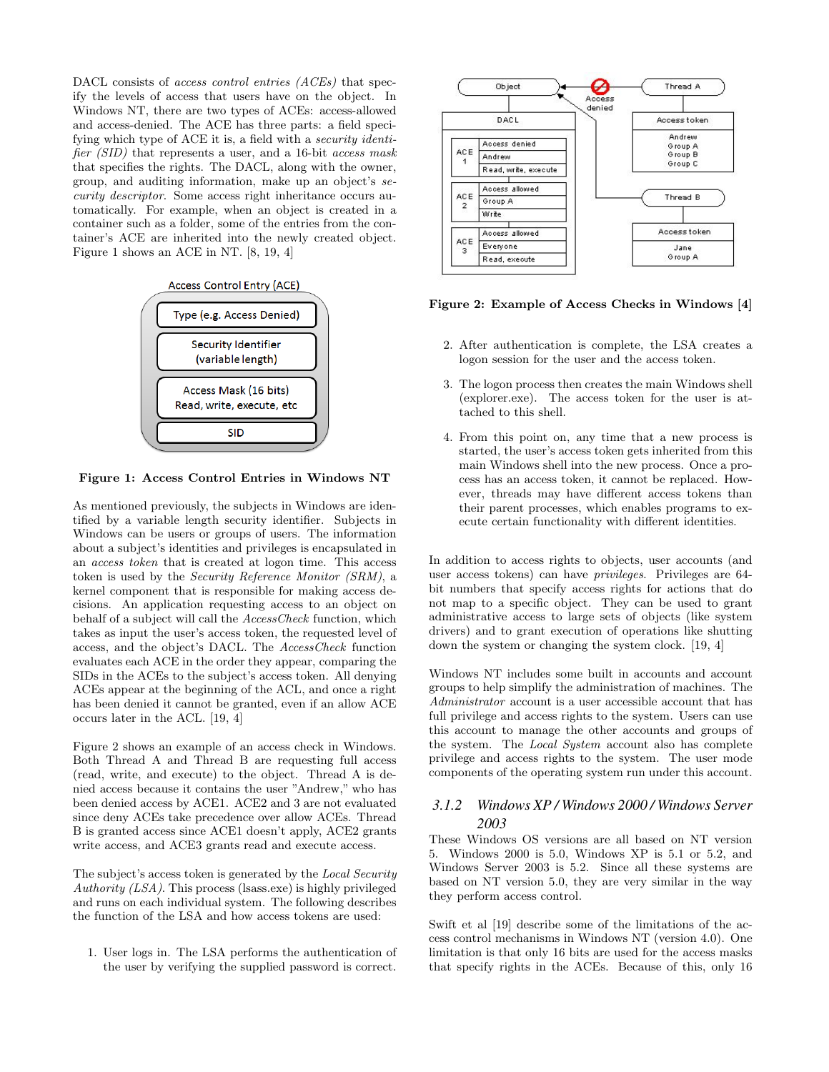DACL consists of *access control entries (ACEs)* that specify the levels of access that users have on the object. In Windows NT, there are two types of ACEs: access-allowed and access-denied. The ACE has three parts: a field specifying which type of ACE it is, a field with a security identifier *(SID)* that represents a user, and a 16-bit *access mask* that specifies the rights. The DACL, along with the owner, group, and auditing information, make up an object's security descriptor. Some access right inheritance occurs automatically. For example, when an object is created in a container such as a folder, some of the entries from the container's ACE are inherited into the newly created object. Figure 1 shows an ACE in NT. [8, 19, 4]





Figure 1: Access Control Entries in Windows NT

As mentioned previously, the subjects in Windows are identified by a variable length security identifier. Subjects in Windows can be users or groups of users. The information about a subject's identities and privileges is encapsulated in an access token that is created at logon time. This access token is used by the Security Reference Monitor (SRM), a kernel component that is responsible for making access decisions. An application requesting access to an object on behalf of a subject will call the AccessCheck function, which takes as input the user's access token, the requested level of access, and the object's DACL. The AccessCheck function evaluates each ACE in the order they appear, comparing the SIDs in the ACEs to the subject's access token. All denying ACEs appear at the beginning of the ACL, and once a right has been denied it cannot be granted, even if an allow ACE occurs later in the ACL. [19, 4]

Figure 2 shows an example of an access check in Windows. Both Thread A and Thread B are requesting full access (read, write, and execute) to the object. Thread A is denied access because it contains the user "Andrew," who has been denied access by ACE1. ACE2 and 3 are not evaluated since deny ACEs take precedence over allow ACEs. Thread B is granted access since ACE1 doesn't apply, ACE2 grants write access, and ACE3 grants read and execute access.

The subject's access token is generated by the *Local Security* Authority (LSA). This process (lsass.exe) is highly privileged and runs on each individual system. The following describes the function of the LSA and how access tokens are used:

1. User logs in. The LSA performs the authentication of the user by verifying the supplied password is correct.



Figure 2: Example of Access Checks in Windows [4]

- 2. After authentication is complete, the LSA creates a logon session for the user and the access token.
- 3. The logon process then creates the main Windows shell (explorer.exe). The access token for the user is attached to this shell.
- 4. From this point on, any time that a new process is started, the user's access token gets inherited from this main Windows shell into the new process. Once a process has an access token, it cannot be replaced. However, threads may have different access tokens than their parent processes, which enables programs to execute certain functionality with different identities.

In addition to access rights to objects, user accounts (and user access tokens) can have privileges. Privileges are 64 bit numbers that specify access rights for actions that do not map to a specific object. They can be used to grant administrative access to large sets of objects (like system drivers) and to grant execution of operations like shutting down the system or changing the system clock. [19, 4]

Windows NT includes some built in accounts and account groups to help simplify the administration of machines. The Administrator account is a user accessible account that has full privilege and access rights to the system. Users can use this account to manage the other accounts and groups of the system. The Local System account also has complete privilege and access rights to the system. The user mode components of the operating system run under this account.

# *3.1.2 Windows XP / Windows 2000 / Windows Server 2003*

These Windows OS versions are all based on NT version 5. Windows 2000 is 5.0, Windows XP is 5.1 or 5.2, and Windows Server 2003 is 5.2. Since all these systems are based on NT version 5.0, they are very similar in the way they perform access control.

Swift et al [19] describe some of the limitations of the access control mechanisms in Windows NT (version 4.0). One limitation is that only 16 bits are used for the access masks that specify rights in the ACEs. Because of this, only 16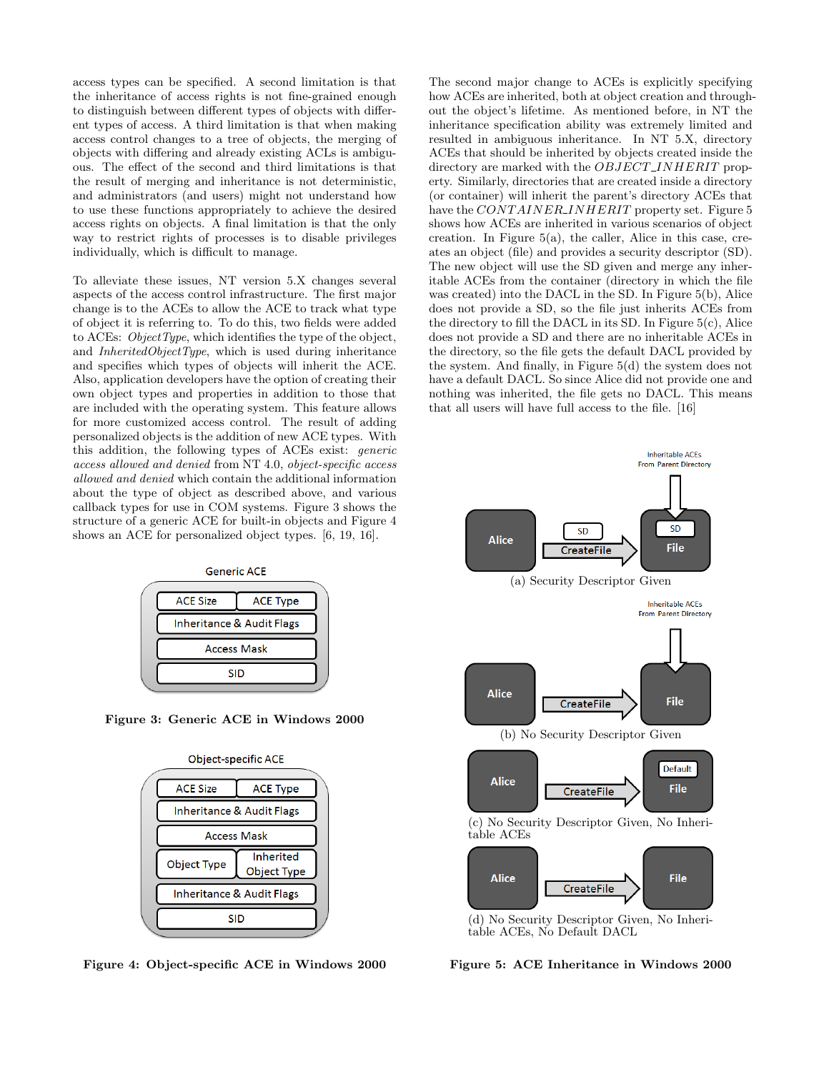access types can be specified. A second limitation is that the inheritance of access rights is not fine-grained enough to distinguish between different types of objects with different types of access. A third limitation is that when making access control changes to a tree of objects, the merging of objects with differing and already existing ACLs is ambiguous. The effect of the second and third limitations is that the result of merging and inheritance is not deterministic, and administrators (and users) might not understand how to use these functions appropriately to achieve the desired access rights on objects. A final limitation is that the only way to restrict rights of processes is to disable privileges individually, which is difficult to manage.

To alleviate these issues, NT version 5.X changes several aspects of the access control infrastructure. The first major change is to the ACEs to allow the ACE to track what type of object it is referring to. To do this, two fields were added to ACEs: ObjectType, which identifies the type of the object, and InheritedObjectType, which is used during inheritance and specifies which types of objects will inherit the ACE. Also, application developers have the option of creating their own object types and properties in addition to those that are included with the operating system. This feature allows for more customized access control. The result of adding personalized objects is the addition of new ACE types. With this addition, the following types of ACEs exist: generic access allowed and denied from NT 4.0, object-specific access allowed and denied which contain the additional information about the type of object as described above, and various callback types for use in COM systems. Figure 3 shows the structure of a generic ACE for built-in objects and Figure 4 shows an ACE for personalized object types. [6, 19, 16].



Figure 3: Generic ACE in Windows 2000



Figure 4: Object-specific ACE in Windows 2000

The second major change to ACEs is explicitly specifying how ACEs are inherited, both at object creation and throughout the object's lifetime. As mentioned before, in NT the inheritance specification ability was extremely limited and resulted in ambiguous inheritance. In NT 5.X, directory ACEs that should be inherited by objects created inside the directory are marked with the OBJECT\_INHERIT property. Similarly, directories that are created inside a directory (or container) will inherit the parent's directory ACEs that have the CONTAINER INHERIT property set. Figure 5 shows how ACEs are inherited in various scenarios of object creation. In Figure  $5(a)$ , the caller, Alice in this case, creates an object (file) and provides a security descriptor (SD). The new object will use the SD given and merge any inheritable ACEs from the container (directory in which the file was created) into the DACL in the SD. In Figure 5(b), Alice does not provide a SD, so the file just inherits ACEs from the directory to fill the DACL in its SD. In Figure 5(c), Alice does not provide a SD and there are no inheritable ACEs in the directory, so the file gets the default DACL provided by the system. And finally, in Figure 5(d) the system does not have a default DACL. So since Alice did not provide one and nothing was inherited, the file gets no DACL. This means that all users will have full access to the file. [16]



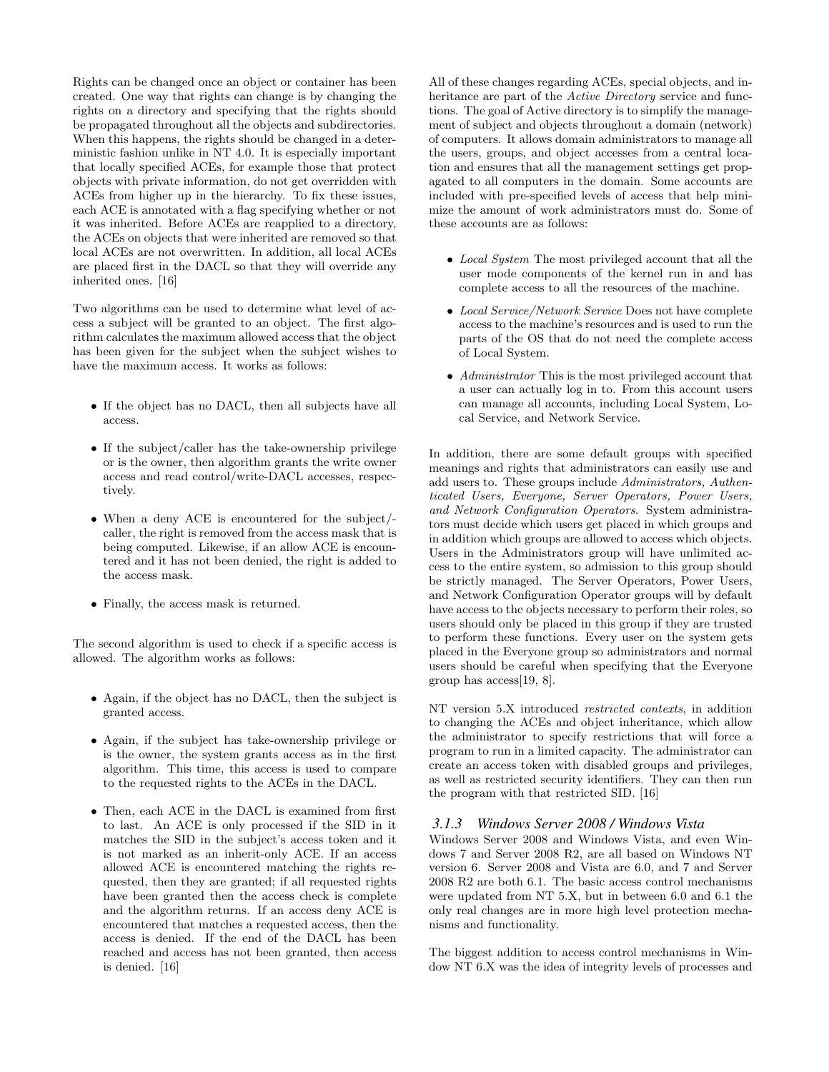Rights can be changed once an object or container has been created. One way that rights can change is by changing the rights on a directory and specifying that the rights should be propagated throughout all the objects and subdirectories. When this happens, the rights should be changed in a deterministic fashion unlike in NT 4.0. It is especially important that locally specified ACEs, for example those that protect objects with private information, do not get overridden with ACEs from higher up in the hierarchy. To fix these issues, each ACE is annotated with a flag specifying whether or not it was inherited. Before ACEs are reapplied to a directory, the ACEs on objects that were inherited are removed so that local ACEs are not overwritten. In addition, all local ACEs are placed first in the DACL so that they will override any inherited ones. [16]

Two algorithms can be used to determine what level of access a subject will be granted to an object. The first algorithm calculates the maximum allowed access that the object has been given for the subject when the subject wishes to have the maximum access. It works as follows:

- If the object has no DACL, then all subjects have all access.
- If the subject/caller has the take-ownership privilege or is the owner, then algorithm grants the write owner access and read control/write-DACL accesses, respectively.
- When a deny ACE is encountered for the subject/ caller, the right is removed from the access mask that is being computed. Likewise, if an allow ACE is encountered and it has not been denied, the right is added to the access mask.
- Finally, the access mask is returned.

The second algorithm is used to check if a specific access is allowed. The algorithm works as follows:

- Again, if the object has no DACL, then the subject is granted access.
- Again, if the subject has take-ownership privilege or is the owner, the system grants access as in the first algorithm. This time, this access is used to compare to the requested rights to the ACEs in the DACL.
- Then, each ACE in the DACL is examined from first to last. An ACE is only processed if the SID in it matches the SID in the subject's access token and it is not marked as an inherit-only ACE. If an access allowed ACE is encountered matching the rights requested, then they are granted; if all requested rights have been granted then the access check is complete and the algorithm returns. If an access deny ACE is encountered that matches a requested access, then the access is denied. If the end of the DACL has been reached and access has not been granted, then access is denied. [16]

All of these changes regarding ACEs, special objects, and inheritance are part of the *Active Directory* service and functions. The goal of Active directory is to simplify the management of subject and objects throughout a domain (network) of computers. It allows domain administrators to manage all the users, groups, and object accesses from a central location and ensures that all the management settings get propagated to all computers in the domain. Some accounts are included with pre-specified levels of access that help minimize the amount of work administrators must do. Some of these accounts are as follows:

- Local System The most privileged account that all the user mode components of the kernel run in and has complete access to all the resources of the machine.
- Local Service/Network Service Does not have complete access to the machine's resources and is used to run the parts of the OS that do not need the complete access of Local System.
- Administrator This is the most privileged account that a user can actually log in to. From this account users can manage all accounts, including Local System, Local Service, and Network Service.

In addition, there are some default groups with specified meanings and rights that administrators can easily use and add users to. These groups include Administrators, Authenticated Users, Everyone, Server Operators, Power Users, and Network Configuration Operators. System administrators must decide which users get placed in which groups and in addition which groups are allowed to access which objects. Users in the Administrators group will have unlimited access to the entire system, so admission to this group should be strictly managed. The Server Operators, Power Users, and Network Configuration Operator groups will by default have access to the objects necessary to perform their roles, so users should only be placed in this group if they are trusted to perform these functions. Every user on the system gets placed in the Everyone group so administrators and normal users should be careful when specifying that the Everyone group has access[19, 8].

NT version 5.X introduced restricted contexts, in addition to changing the ACEs and object inheritance, which allow the administrator to specify restrictions that will force a program to run in a limited capacity. The administrator can create an access token with disabled groups and privileges, as well as restricted security identifiers. They can then run the program with that restricted SID. [16]

#### *3.1.3 Windows Server 2008 / Windows Vista*

Windows Server 2008 and Windows Vista, and even Windows 7 and Server 2008 R2, are all based on Windows NT version 6. Server 2008 and Vista are 6.0, and 7 and Server 2008 R2 are both 6.1. The basic access control mechanisms were updated from NT 5.X, but in between 6.0 and 6.1 the only real changes are in more high level protection mechanisms and functionality.

The biggest addition to access control mechanisms in Window NT 6.X was the idea of integrity levels of processes and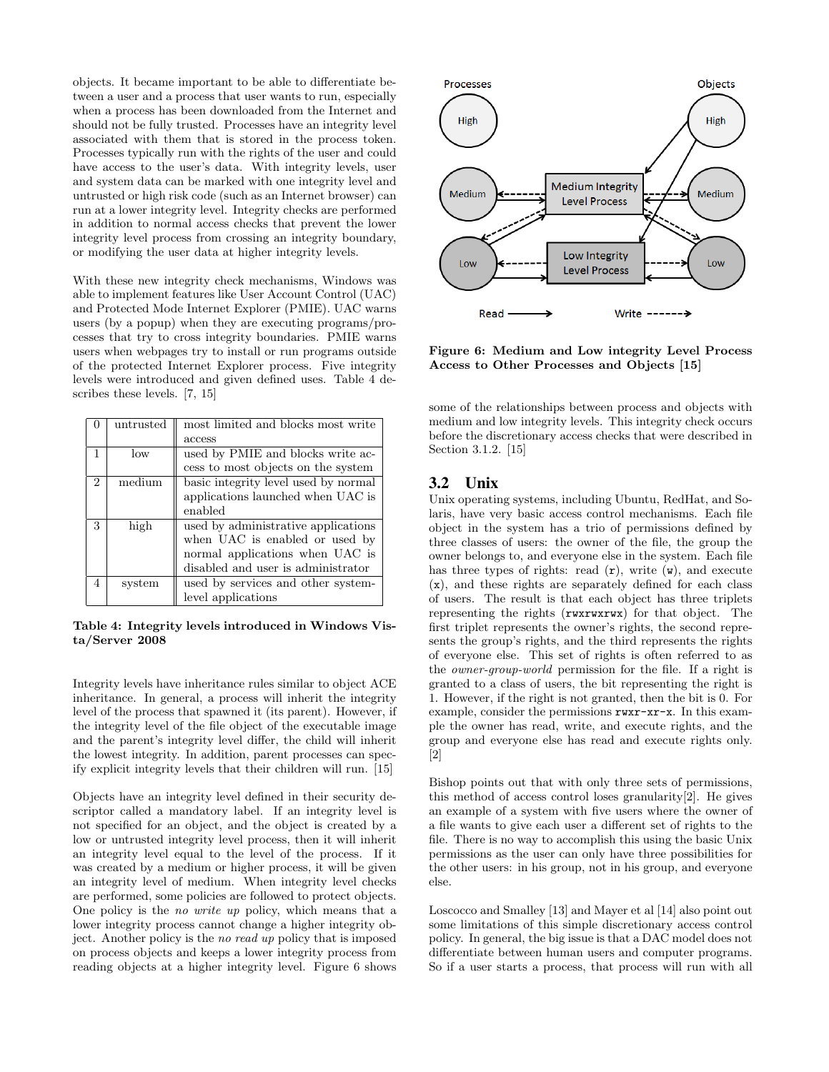objects. It became important to be able to differentiate between a user and a process that user wants to run, especially when a process has been downloaded from the Internet and should not be fully trusted. Processes have an integrity level associated with them that is stored in the process token. Processes typically run with the rights of the user and could have access to the user's data. With integrity levels, user and system data can be marked with one integrity level and untrusted or high risk code (such as an Internet browser) can run at a lower integrity level. Integrity checks are performed in addition to normal access checks that prevent the lower integrity level process from crossing an integrity boundary, or modifying the user data at higher integrity levels.

With these new integrity check mechanisms, Windows was able to implement features like User Account Control (UAC) and Protected Mode Internet Explorer (PMIE). UAC warns users (by a popup) when they are executing programs/processes that try to cross integrity boundaries. PMIE warns users when webpages try to install or run programs outside of the protected Internet Explorer process. Five integrity levels were introduced and given defined uses. Table 4 describes these levels. [7, 15]

|   | untrusted | most limited and blocks most write   |
|---|-----------|--------------------------------------|
|   |           | access                               |
|   | low       | used by PMIE and blocks write ac-    |
|   |           | cess to most objects on the system   |
| 2 | medium    | basic integrity level used by normal |
|   |           | applications launched when UAC is    |
|   |           | enabled                              |
| 3 | high      | used by administrative applications  |
|   |           | when UAC is enabled or used by       |
|   |           | normal applications when UAC is      |
|   |           | disabled and user is administrator   |
| 4 | system    | used by services and other system-   |
|   |           | level applications                   |

Table 4: Integrity levels introduced in Windows Vista/Server 2008

Integrity levels have inheritance rules similar to object ACE inheritance. In general, a process will inherit the integrity level of the process that spawned it (its parent). However, if the integrity level of the file object of the executable image and the parent's integrity level differ, the child will inherit the lowest integrity. In addition, parent processes can specify explicit integrity levels that their children will run. [15]

Objects have an integrity level defined in their security descriptor called a mandatory label. If an integrity level is not specified for an object, and the object is created by a low or untrusted integrity level process, then it will inherit an integrity level equal to the level of the process. If it was created by a medium or higher process, it will be given an integrity level of medium. When integrity level checks are performed, some policies are followed to protect objects. One policy is the no write up policy, which means that a lower integrity process cannot change a higher integrity object. Another policy is the no read up policy that is imposed on process objects and keeps a lower integrity process from reading objects at a higher integrity level. Figure 6 shows



Figure 6: Medium and Low integrity Level Process Access to Other Processes and Objects [15]

some of the relationships between process and objects with medium and low integrity levels. This integrity check occurs before the discretionary access checks that were described in Section 3.1.2. [15]

# 3.2 Unix

Unix operating systems, including Ubuntu, RedHat, and Solaris, have very basic access control mechanisms. Each file object in the system has a trio of permissions defined by three classes of users: the owner of the file, the group the owner belongs to, and everyone else in the system. Each file has three types of rights: read  $(r)$ , write  $(w)$ , and execute (x), and these rights are separately defined for each class of users. The result is that each object has three triplets representing the rights (rwxrwxrwx) for that object. The first triplet represents the owner's rights, the second represents the group's rights, and the third represents the rights of everyone else. This set of rights is often referred to as the owner-group-world permission for the file. If a right is granted to a class of users, the bit representing the right is 1. However, if the right is not granted, then the bit is 0. For example, consider the permissions rwxr-xr-x. In this example the owner has read, write, and execute rights, and the group and everyone else has read and execute rights only. [2]

Bishop points out that with only three sets of permissions, this method of access control loses granularity[2]. He gives an example of a system with five users where the owner of a file wants to give each user a different set of rights to the file. There is no way to accomplish this using the basic Unix permissions as the user can only have three possibilities for the other users: in his group, not in his group, and everyone else.

Loscocco and Smalley [13] and Mayer et al [14] also point out some limitations of this simple discretionary access control policy. In general, the big issue is that a DAC model does not differentiate between human users and computer programs. So if a user starts a process, that process will run with all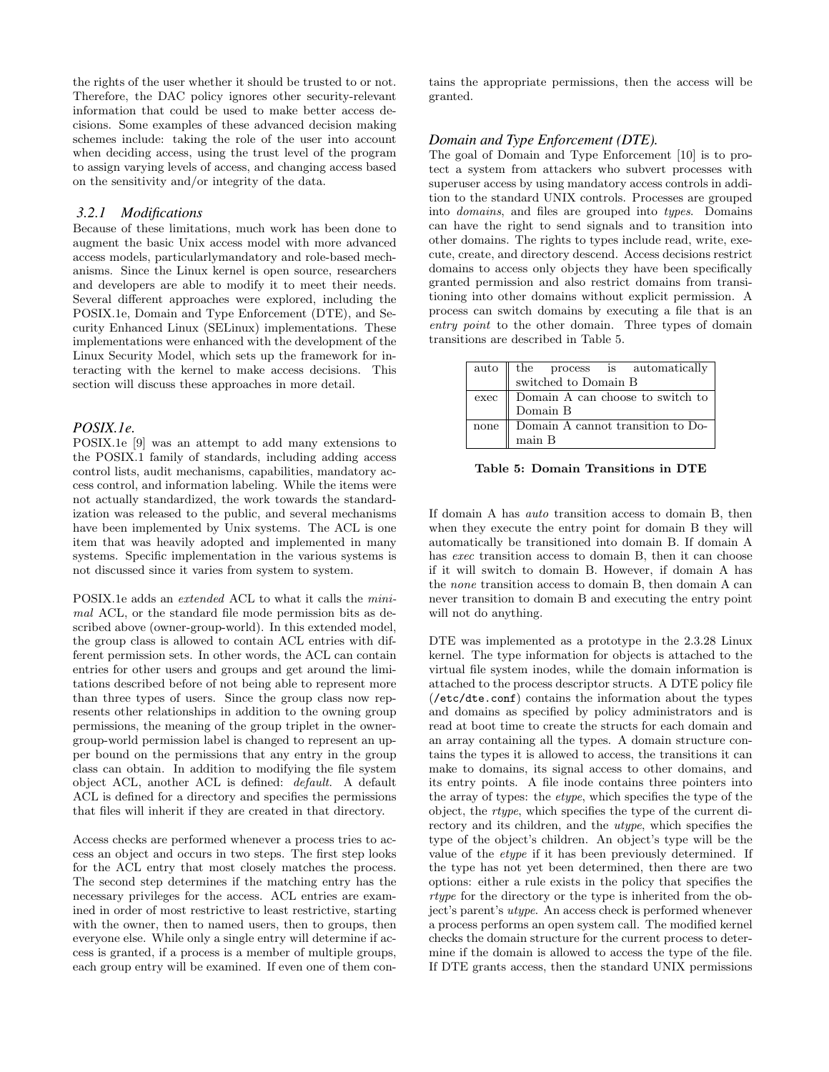the rights of the user whether it should be trusted to or not. Therefore, the DAC policy ignores other security-relevant information that could be used to make better access decisions. Some examples of these advanced decision making schemes include: taking the role of the user into account when deciding access, using the trust level of the program to assign varying levels of access, and changing access based on the sensitivity and/or integrity of the data.

#### *3.2.1 Modifications*

Because of these limitations, much work has been done to augment the basic Unix access model with more advanced access models, particularlymandatory and role-based mechanisms. Since the Linux kernel is open source, researchers and developers are able to modify it to meet their needs. Several different approaches were explored, including the POSIX.1e, Domain and Type Enforcement (DTE), and Security Enhanced Linux (SELinux) implementations. These implementations were enhanced with the development of the Linux Security Model, which sets up the framework for interacting with the kernel to make access decisions. This section will discuss these approaches in more detail.

#### *POSIX.1e.*

POSIX.1e [9] was an attempt to add many extensions to the POSIX.1 family of standards, including adding access control lists, audit mechanisms, capabilities, mandatory access control, and information labeling. While the items were not actually standardized, the work towards the standardization was released to the public, and several mechanisms have been implemented by Unix systems. The ACL is one item that was heavily adopted and implemented in many systems. Specific implementation in the various systems is not discussed since it varies from system to system.

POSIX.1e adds an extended ACL to what it calls the minimal ACL, or the standard file mode permission bits as described above (owner-group-world). In this extended model, the group class is allowed to contain ACL entries with different permission sets. In other words, the ACL can contain entries for other users and groups and get around the limitations described before of not being able to represent more than three types of users. Since the group class now represents other relationships in addition to the owning group permissions, the meaning of the group triplet in the ownergroup-world permission label is changed to represent an upper bound on the permissions that any entry in the group class can obtain. In addition to modifying the file system object ACL, another ACL is defined: default. A default ACL is defined for a directory and specifies the permissions that files will inherit if they are created in that directory.

Access checks are performed whenever a process tries to access an object and occurs in two steps. The first step looks for the ACL entry that most closely matches the process. The second step determines if the matching entry has the necessary privileges for the access. ACL entries are examined in order of most restrictive to least restrictive, starting with the owner, then to named users, then to groups, then everyone else. While only a single entry will determine if access is granted, if a process is a member of multiple groups, each group entry will be examined. If even one of them contains the appropriate permissions, then the access will be granted.

#### *Domain and Type Enforcement (DTE).*

The goal of Domain and Type Enforcement [10] is to protect a system from attackers who subvert processes with superuser access by using mandatory access controls in addition to the standard UNIX controls. Processes are grouped into domains, and files are grouped into types. Domains can have the right to send signals and to transition into other domains. The rights to types include read, write, execute, create, and directory descend. Access decisions restrict domains to access only objects they have been specifically granted permission and also restrict domains from transitioning into other domains without explicit permission. A process can switch domains by executing a file that is an entry point to the other domain. Three types of domain transitions are described in Table 5.

|      | auto $\left\  \begin{array}{ccc} \text{the} & \text{process} & \text{is} & \text{automatically} \\ \text{switched to Domain B} & \end{array} \right\ $ |  |  |
|------|--------------------------------------------------------------------------------------------------------------------------------------------------------|--|--|
| exec | Domain A can choose to switch to                                                                                                                       |  |  |
|      | Domain $\rm{B}$                                                                                                                                        |  |  |
| none | Domain A cannot transition to Do-                                                                                                                      |  |  |
|      | main B                                                                                                                                                 |  |  |

Table 5: Domain Transitions in DTE

If domain A has auto transition access to domain B, then when they execute the entry point for domain B they will automatically be transitioned into domain B. If domain A has exec transition access to domain B, then it can choose if it will switch to domain B. However, if domain A has the none transition access to domain B, then domain A can never transition to domain B and executing the entry point will not do anything.

DTE was implemented as a prototype in the 2.3.28 Linux kernel. The type information for objects is attached to the virtual file system inodes, while the domain information is attached to the process descriptor structs. A DTE policy file (/etc/dte.conf) contains the information about the types and domains as specified by policy administrators and is read at boot time to create the structs for each domain and an array containing all the types. A domain structure contains the types it is allowed to access, the transitions it can make to domains, its signal access to other domains, and its entry points. A file inode contains three pointers into the array of types: the etype, which specifies the type of the object, the rtype, which specifies the type of the current directory and its children, and the utype, which specifies the type of the object's children. An object's type will be the value of the etype if it has been previously determined. If the type has not yet been determined, then there are two options: either a rule exists in the policy that specifies the rtype for the directory or the type is inherited from the object's parent's utype. An access check is performed whenever a process performs an open system call. The modified kernel checks the domain structure for the current process to determine if the domain is allowed to access the type of the file. If DTE grants access, then the standard UNIX permissions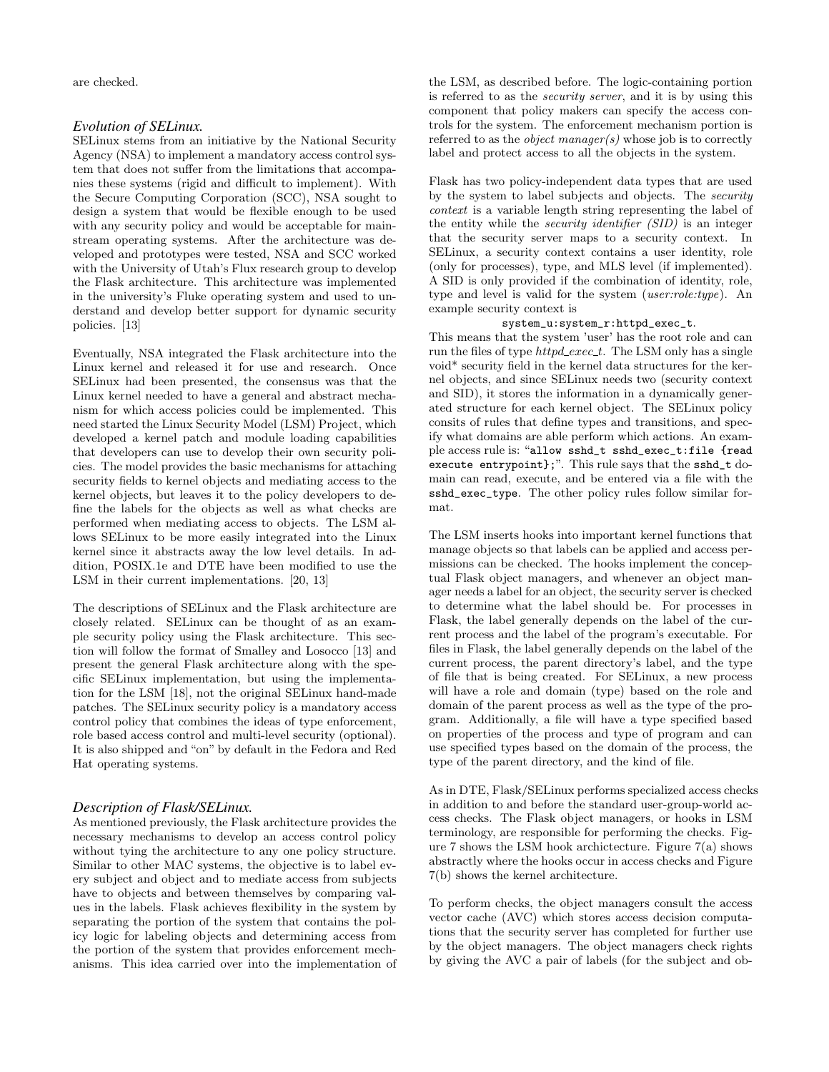#### *Evolution of SELinux.*

SELinux stems from an initiative by the National Security Agency (NSA) to implement a mandatory access control system that does not suffer from the limitations that accompanies these systems (rigid and difficult to implement). With the Secure Computing Corporation (SCC), NSA sought to design a system that would be flexible enough to be used with any security policy and would be acceptable for mainstream operating systems. After the architecture was developed and prototypes were tested, NSA and SCC worked with the University of Utah's Flux research group to develop the Flask architecture. This architecture was implemented in the university's Fluke operating system and used to understand and develop better support for dynamic security policies. [13]

Eventually, NSA integrated the Flask architecture into the Linux kernel and released it for use and research. Once SELinux had been presented, the consensus was that the Linux kernel needed to have a general and abstract mechanism for which access policies could be implemented. This need started the Linux Security Model (LSM) Project, which developed a kernel patch and module loading capabilities that developers can use to develop their own security policies. The model provides the basic mechanisms for attaching security fields to kernel objects and mediating access to the kernel objects, but leaves it to the policy developers to define the labels for the objects as well as what checks are performed when mediating access to objects. The LSM allows SELinux to be more easily integrated into the Linux kernel since it abstracts away the low level details. In addition, POSIX.1e and DTE have been modified to use the LSM in their current implementations. [20, 13]

The descriptions of SELinux and the Flask architecture are closely related. SELinux can be thought of as an example security policy using the Flask architecture. This section will follow the format of Smalley and Losocco [13] and present the general Flask architecture along with the specific SELinux implementation, but using the implementation for the LSM [18], not the original SELinux hand-made patches. The SELinux security policy is a mandatory access control policy that combines the ideas of type enforcement, role based access control and multi-level security (optional). It is also shipped and "on" by default in the Fedora and Red Hat operating systems.

#### *Description of Flask/SELinux.*

As mentioned previously, the Flask architecture provides the necessary mechanisms to develop an access control policy without tying the architecture to any one policy structure. Similar to other MAC systems, the objective is to label every subject and object and to mediate access from subjects have to objects and between themselves by comparing values in the labels. Flask achieves flexibility in the system by separating the portion of the system that contains the policy logic for labeling objects and determining access from the portion of the system that provides enforcement mechanisms. This idea carried over into the implementation of

the LSM, as described before. The logic-containing portion is referred to as the security server, and it is by using this component that policy makers can specify the access controls for the system. The enforcement mechanism portion is referred to as the *object manager(s)* whose job is to correctly label and protect access to all the objects in the system.

Flask has two policy-independent data types that are used by the system to label subjects and objects. The security context is a variable length string representing the label of the entity while the security identifier (SID) is an integer that the security server maps to a security context. In SELinux, a security context contains a user identity, role (only for processes), type, and MLS level (if implemented). A SID is only provided if the combination of identity, role, type and level is valid for the system (user:role:type). An example security context is

#### system\_u:system\_r:httpd\_exec\_t.

This means that the system 'user' has the root role and can run the files of type  $httpd\_exec\_t$ . The LSM only has a single void\* security field in the kernel data structures for the kernel objects, and since SELinux needs two (security context and SID), it stores the information in a dynamically generated structure for each kernel object. The SELinux policy consits of rules that define types and transitions, and specify what domains are able perform which actions. An example access rule is: "allow sshd\_t sshd\_exec\_t:file {read execute entrypoint};". This rule says that the sshd\_t domain can read, execute, and be entered via a file with the sshd\_exec\_type. The other policy rules follow similar format.

The LSM inserts hooks into important kernel functions that manage objects so that labels can be applied and access permissions can be checked. The hooks implement the conceptual Flask object managers, and whenever an object manager needs a label for an object, the security server is checked to determine what the label should be. For processes in Flask, the label generally depends on the label of the current process and the label of the program's executable. For files in Flask, the label generally depends on the label of the current process, the parent directory's label, and the type of file that is being created. For SELinux, a new process will have a role and domain (type) based on the role and domain of the parent process as well as the type of the program. Additionally, a file will have a type specified based on properties of the process and type of program and can use specified types based on the domain of the process, the type of the parent directory, and the kind of file.

As in DTE, Flask/SELinux performs specialized access checks in addition to and before the standard user-group-world access checks. The Flask object managers, or hooks in LSM terminology, are responsible for performing the checks. Figure 7 shows the LSM hook archictecture. Figure 7(a) shows abstractly where the hooks occur in access checks and Figure 7(b) shows the kernel architecture.

To perform checks, the object managers consult the access vector cache (AVC) which stores access decision computations that the security server has completed for further use by the object managers. The object managers check rights by giving the AVC a pair of labels (for the subject and ob-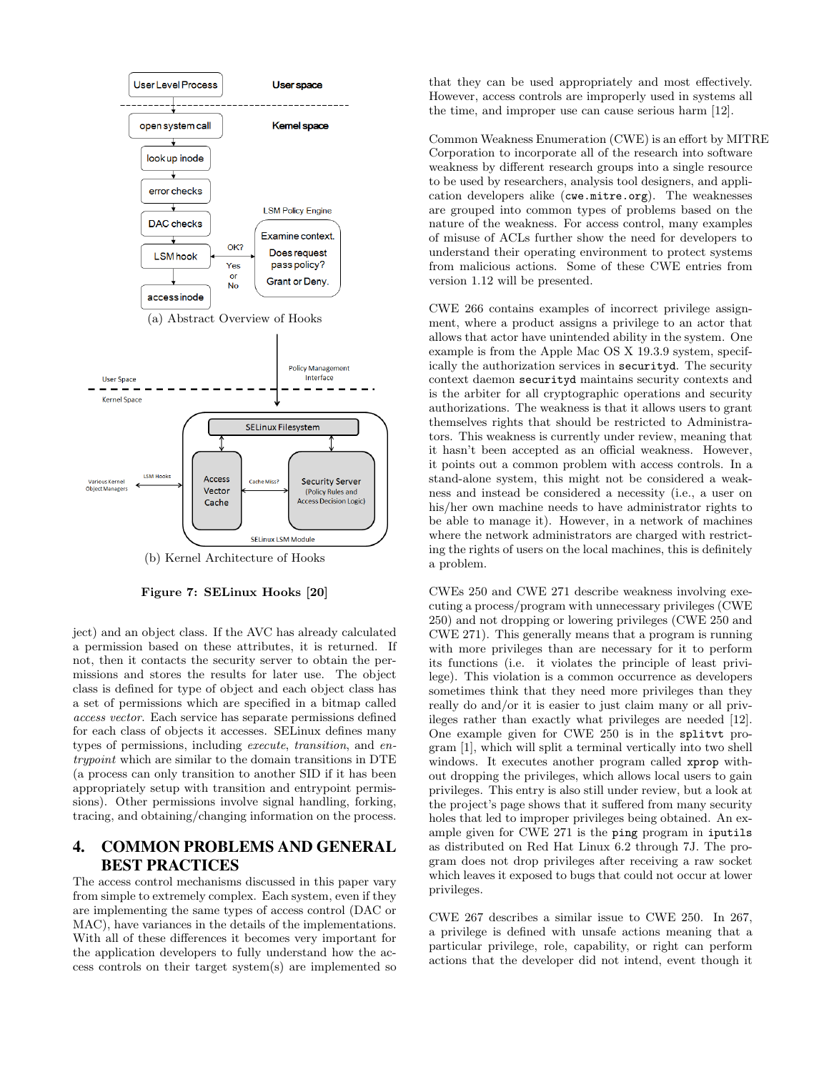

(b) Kernel Architecture of Hooks

Figure 7: SELinux Hooks [20]

ject) and an object class. If the AVC has already calculated a permission based on these attributes, it is returned. If not, then it contacts the security server to obtain the permissions and stores the results for later use. The object class is defined for type of object and each object class has a set of permissions which are specified in a bitmap called access vector. Each service has separate permissions defined for each class of objects it accesses. SELinux defines many types of permissions, including execute, transition, and entrypoint which are similar to the domain transitions in DTE (a process can only transition to another SID if it has been appropriately setup with transition and entrypoint permissions). Other permissions involve signal handling, forking, tracing, and obtaining/changing information on the process.

# 4. COMMON PROBLEMS AND GENERAL BEST PRACTICES

The access control mechanisms discussed in this paper vary from simple to extremely complex. Each system, even if they are implementing the same types of access control (DAC or MAC), have variances in the details of the implementations. With all of these differences it becomes very important for the application developers to fully understand how the access controls on their target system(s) are implemented so that they can be used appropriately and most effectively. However, access controls are improperly used in systems all the time, and improper use can cause serious harm [12].

Common Weakness Enumeration (CWE) is an effort by MITRE Corporation to incorporate all of the research into software weakness by different research groups into a single resource to be used by researchers, analysis tool designers, and application developers alike (cwe.mitre.org). The weaknesses are grouped into common types of problems based on the nature of the weakness. For access control, many examples of misuse of ACLs further show the need for developers to understand their operating environment to protect systems from malicious actions. Some of these CWE entries from version 1.12 will be presented.

CWE 266 contains examples of incorrect privilege assignment, where a product assigns a privilege to an actor that allows that actor have unintended ability in the system. One example is from the Apple Mac OS X 19.3.9 system, specifically the authorization services in securityd. The security context daemon securityd maintains security contexts and is the arbiter for all cryptographic operations and security authorizations. The weakness is that it allows users to grant themselves rights that should be restricted to Administrators. This weakness is currently under review, meaning that it hasn't been accepted as an official weakness. However, it points out a common problem with access controls. In a stand-alone system, this might not be considered a weakness and instead be considered a necessity (i.e., a user on his/her own machine needs to have administrator rights to be able to manage it). However, in a network of machines where the network administrators are charged with restricting the rights of users on the local machines, this is definitely a problem.

CWEs 250 and CWE 271 describe weakness involving executing a process/program with unnecessary privileges (CWE 250) and not dropping or lowering privileges (CWE 250 and CWE 271). This generally means that a program is running with more privileges than are necessary for it to perform its functions (i.e. it violates the principle of least privilege). This violation is a common occurrence as developers sometimes think that they need more privileges than they really do and/or it is easier to just claim many or all privileges rather than exactly what privileges are needed [12]. One example given for CWE 250 is in the splitvt program [1], which will split a terminal vertically into two shell windows. It executes another program called xprop without dropping the privileges, which allows local users to gain privileges. This entry is also still under review, but a look at the project's page shows that it suffered from many security holes that led to improper privileges being obtained. An example given for CWE 271 is the ping program in iputils as distributed on Red Hat Linux 6.2 through 7J. The program does not drop privileges after receiving a raw socket which leaves it exposed to bugs that could not occur at lower privileges.

CWE 267 describes a similar issue to CWE 250. In 267, a privilege is defined with unsafe actions meaning that a particular privilege, role, capability, or right can perform actions that the developer did not intend, event though it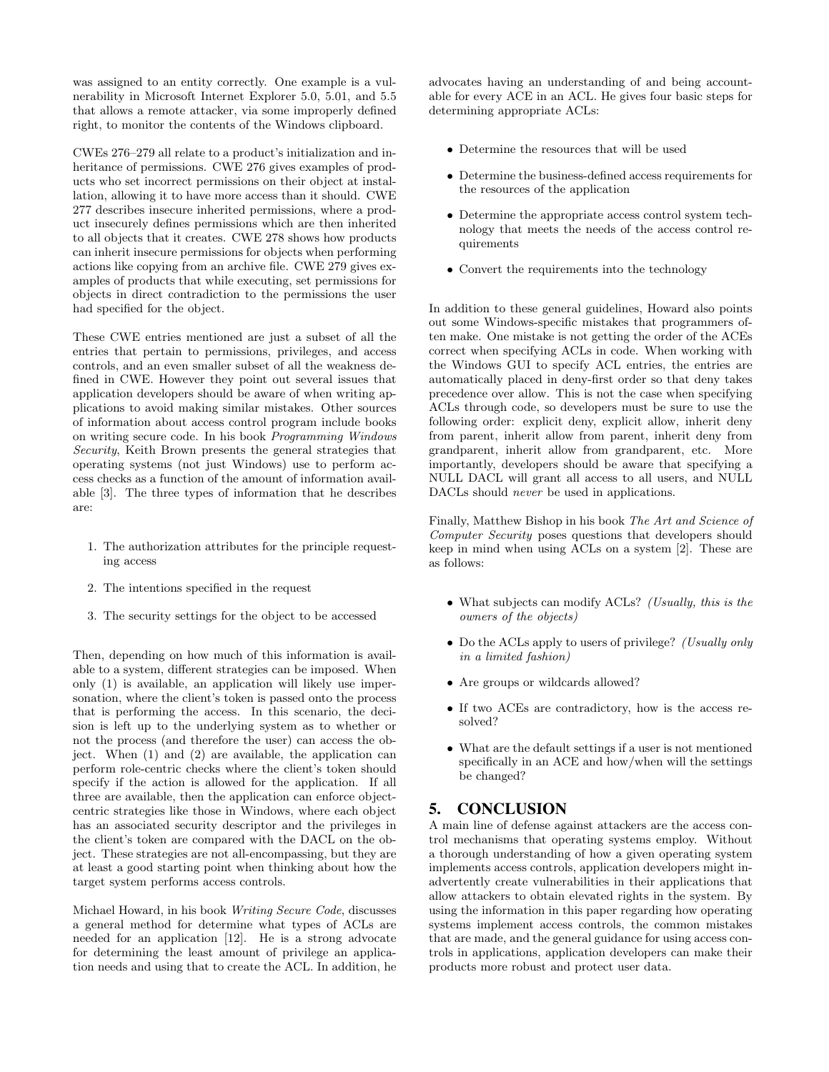was assigned to an entity correctly. One example is a vulnerability in Microsoft Internet Explorer 5.0, 5.01, and 5.5 that allows a remote attacker, via some improperly defined right, to monitor the contents of the Windows clipboard.

CWEs 276–279 all relate to a product's initialization and inheritance of permissions. CWE 276 gives examples of products who set incorrect permissions on their object at installation, allowing it to have more access than it should. CWE 277 describes insecure inherited permissions, where a product insecurely defines permissions which are then inherited to all objects that it creates. CWE 278 shows how products can inherit insecure permissions for objects when performing actions like copying from an archive file. CWE 279 gives examples of products that while executing, set permissions for objects in direct contradiction to the permissions the user had specified for the object.

These CWE entries mentioned are just a subset of all the entries that pertain to permissions, privileges, and access controls, and an even smaller subset of all the weakness defined in CWE. However they point out several issues that application developers should be aware of when writing applications to avoid making similar mistakes. Other sources of information about access control program include books on writing secure code. In his book Programming Windows Security, Keith Brown presents the general strategies that operating systems (not just Windows) use to perform access checks as a function of the amount of information available [3]. The three types of information that he describes are:

- 1. The authorization attributes for the principle requesting access
- 2. The intentions specified in the request
- 3. The security settings for the object to be accessed

Then, depending on how much of this information is available to a system, different strategies can be imposed. When only (1) is available, an application will likely use impersonation, where the client's token is passed onto the process that is performing the access. In this scenario, the decision is left up to the underlying system as to whether or not the process (and therefore the user) can access the object. When (1) and (2) are available, the application can perform role-centric checks where the client's token should specify if the action is allowed for the application. If all three are available, then the application can enforce objectcentric strategies like those in Windows, where each object has an associated security descriptor and the privileges in the client's token are compared with the DACL on the object. These strategies are not all-encompassing, but they are at least a good starting point when thinking about how the target system performs access controls.

Michael Howard, in his book Writing Secure Code, discusses a general method for determine what types of ACLs are needed for an application [12]. He is a strong advocate for determining the least amount of privilege an application needs and using that to create the ACL. In addition, he advocates having an understanding of and being accountable for every ACE in an ACL. He gives four basic steps for determining appropriate ACLs:

- Determine the resources that will be used
- Determine the business-defined access requirements for the resources of the application
- Determine the appropriate access control system technology that meets the needs of the access control requirements
- Convert the requirements into the technology

In addition to these general guidelines, Howard also points out some Windows-specific mistakes that programmers often make. One mistake is not getting the order of the ACEs correct when specifying ACLs in code. When working with the Windows GUI to specify ACL entries, the entries are automatically placed in deny-first order so that deny takes precedence over allow. This is not the case when specifying ACLs through code, so developers must be sure to use the following order: explicit deny, explicit allow, inherit deny from parent, inherit allow from parent, inherit deny from grandparent, inherit allow from grandparent, etc. More importantly, developers should be aware that specifying a NULL DACL will grant all access to all users, and NULL DACLs should never be used in applications.

Finally, Matthew Bishop in his book The Art and Science of Computer Security poses questions that developers should keep in mind when using ACLs on a system [2]. These are as follows:

- What subjects can modify ACLs? (Usually, this is the owners of the objects)
- Do the ACLs apply to users of privilege? (Usually only in a limited fashion)
- Are groups or wildcards allowed?
- If two ACEs are contradictory, how is the access resolved?
- What are the default settings if a user is not mentioned specifically in an ACE and how/when will the settings be changed?

# 5. CONCLUSION

A main line of defense against attackers are the access control mechanisms that operating systems employ. Without a thorough understanding of how a given operating system implements access controls, application developers might inadvertently create vulnerabilities in their applications that allow attackers to obtain elevated rights in the system. By using the information in this paper regarding how operating systems implement access controls, the common mistakes that are made, and the general guidance for using access controls in applications, application developers can make their products more robust and protect user data.